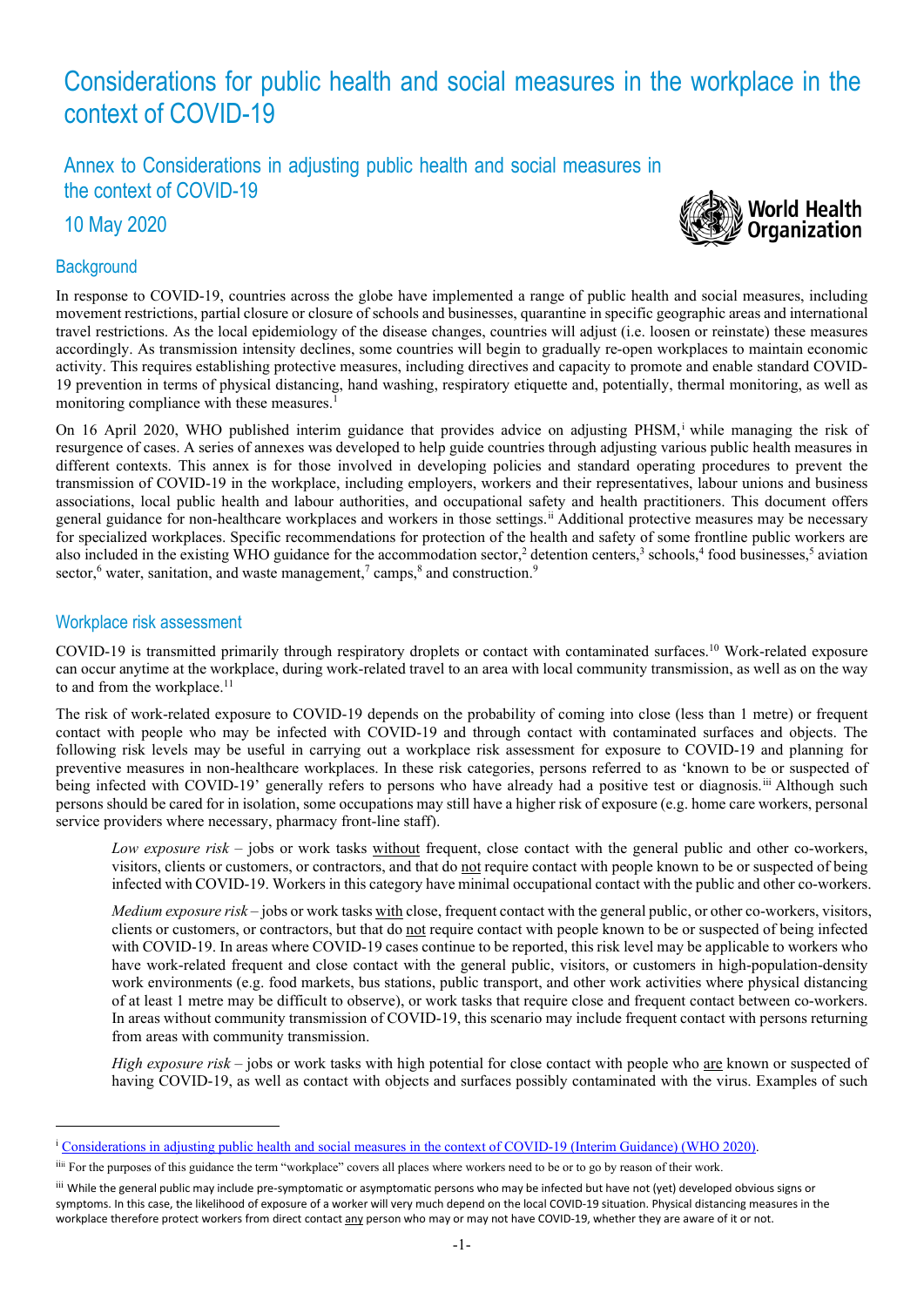# Considerations for public health and social measures in the workplace in the context of COVID-19

Annex to Considerations in adjusting public health and social measures in the context of COVID-19

10 May 2020

# **Background**



In response to COVID-19, countries across the globe have implemented a range of public health and social measures, including movement restrictions, partial closure or closure of schools and businesses, quarantine in specific geographic areas and international travel restrictions. As the local epidemiology of the disease changes, countries will adjust (i.e. loosen or reinstate) these measures accordingly. As transmission intensity declines, some countries will begin to gradually re-open workplaces to maintain economic activity. This requires establishing protective measures, including directives and capacity to promote and enable standard COVID-19 prevention in terms of physical distancing, hand washing, respiratory etiquette and, potentially, thermal monitoring, as well as monitoring compliance with these measures.<sup>1</sup>

On 16 April 2020, WHO published interim guidance that provides advice on adjusting PHSM, [i](#page-0-0) while managing the risk of resurgence of cases. A series of annexes was developed to help guide countries through adjusting various public health measures in different contexts. This annex is for those involved in developing policies and standard operating procedures to prevent the transmission of COVID-19 in the workplace, including employers, workers and their representatives, labour unions and business associations, local public health and labour authorities, and occupational safety and health practitioners. This document offers general guidance for non-healthcare workplaces and workers in those settings.[ii](#page-0-1) Additional protective measures may be necessary for specialized workplaces. Specific recommendations for protection of the health and safety of some frontline public workers are also included in the existing WHO guidance for the accommodation sector,<sup>2</sup> detention centers,<sup>3</sup> schools,<sup>4</sup> food businesses,<sup>5</sup> aviation sector, $6$  water, sanitation, and waste management, $7$  camps, $8$  and construction. $9$ 

#### Workplace risk assessment

COVID-19 is transmitted primarily through respiratory droplets or contact with contaminated surfaces.10 Work-related exposure can occur anytime at the workplace, during work-related travel to an area with local community transmission, as well as on the way to and from the workplace.<sup>11</sup>

The risk of work-related exposure to COVID-19 depends on the probability of coming into close (less than 1 metre) or frequent contact with people who may be infected with COVID-19 and through contact with contaminated surfaces and objects. The following risk levels may be useful in carrying out a workplace risk assessment for exposure to COVID-19 and planning for preventive measures in non-healthcare workplaces. In these risk categories, persons referred to as 'known to be or suspected of being infected with COVID-19' generally refers to persons who have already had a positive test or diagnosis.<sup>[iii](#page-0-2)</sup> Although such persons should be cared for in isolation, some occupations may still have a higher risk of exposure (e.g. home care workers, personal service providers where necessary, pharmacy front-line staff).

*Low exposure risk* – jobs or work tasks without frequent, close contact with the general public and other co-workers, visitors, clients or customers, or contractors, and that do not require contact with people known to be or suspected of being infected with COVID-19. Workers in this category have minimal occupational contact with the public and other co-workers.

*Medium exposure risk* – jobs or work tasks with close, frequent contact with the general public, or other co-workers, visitors, clients or customers, or contractors, but that do not require contact with people known to be or suspected of being infected with COVID-19. In areas where COVID-19 cases continue to be reported, this risk level may be applicable to workers who have work-related frequent and close contact with the general public, visitors, or customers in high-population-density work environments (e.g. food markets, bus stations, public transport, and other work activities where physical distancing of at least 1 metre may be difficult to observe), or work tasks that require close and frequent contact between co-workers. In areas without community transmission of COVID-19, this scenario may include frequent contact with persons returning from areas with community transmission.

*High exposure risk* – jobs or work tasks with high potential for close contact with people who are known or suspected of having COVID-19, as well as contact with objects and surfaces possibly contaminated with the virus. Examples of such

<span id="page-0-0"></span><sup>i</sup> [Considerations in adjusting public health and social measures in the context of COVID-19 \(Interim Guidance\)](https://www.who.int/publications-detail/considerations-in-adjusting-public-health-and-social-measures-in-the-context-of-covid-19-interim-guidance) (WHO 2020).

<span id="page-0-1"></span>iiii For the purposes of this guidance the term "workplace" covers all places where workers need to be or to go by reason of their work.

<span id="page-0-2"></span>iii While the general public may include pre-symptomatic or asymptomatic persons who may be infected but have not (yet) developed obvious signs or symptoms. In this case, the likelihood of exposure of a worker will very much depend on the local COVID-19 situation. Physical distancing measures in the workplace therefore protect workers from direct contact any person who may or may not have COVID-19, whether they are aware of it or not.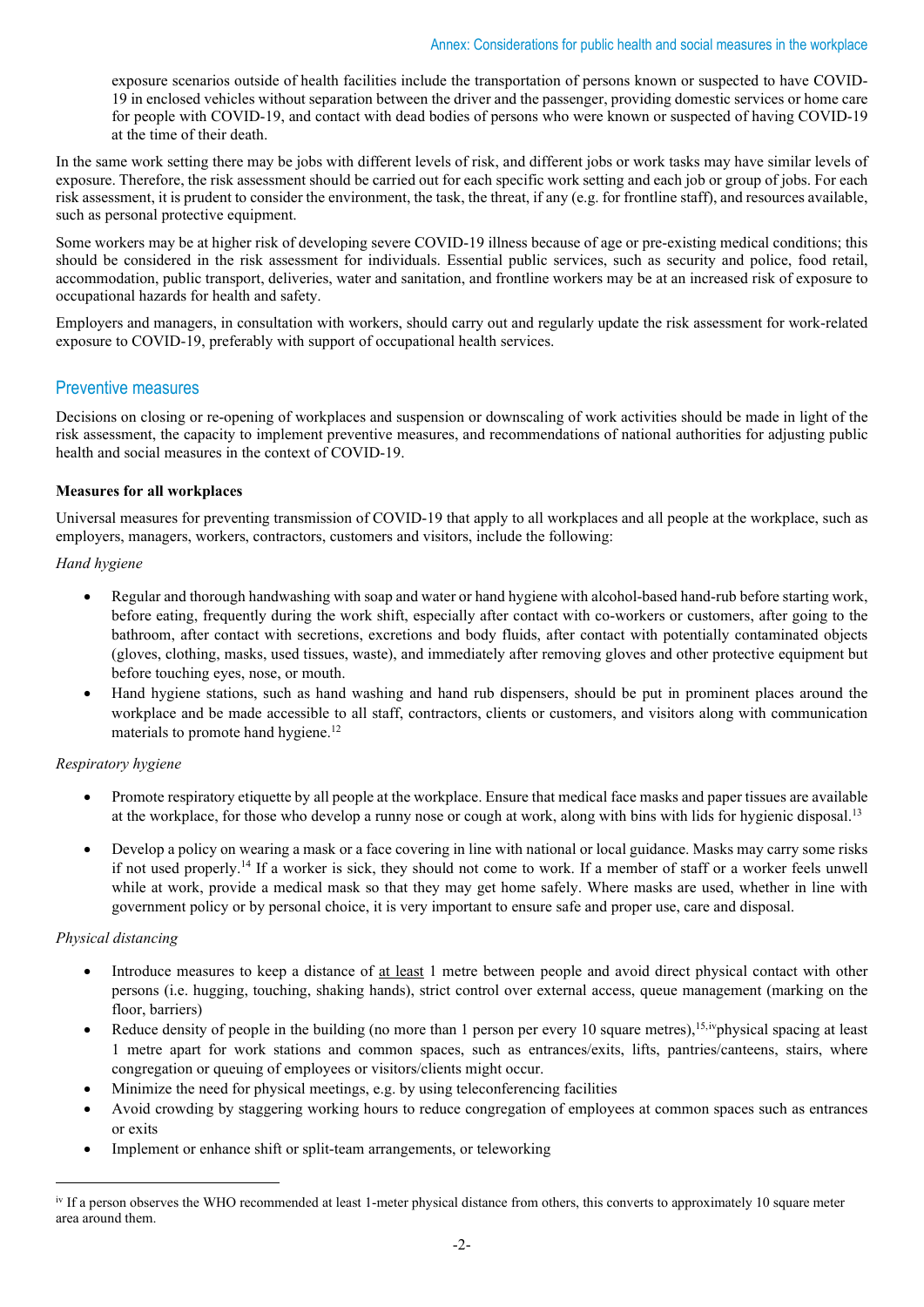exposure scenarios outside of health facilities include the transportation of persons known or suspected to have COVID-19 in enclosed vehicles without separation between the driver and the passenger, providing domestic services or home care for people with COVID-19, and contact with dead bodies of persons who were known or suspected of having COVID-19 at the time of their death.

In the same work setting there may be jobs with different levels of risk, and different jobs or work tasks may have similar levels of exposure. Therefore, the risk assessment should be carried out for each specific work setting and each job or group of jobs. For each risk assessment, it is prudent to consider the environment, the task, the threat, if any (e.g. for frontline staff), and resources available, such as personal protective equipment.

Some workers may be at higher risk of developing severe COVID-19 illness because of age or pre-existing medical conditions; this should be considered in the risk assessment for individuals. Essential public services, such as security and police, food retail, accommodation, public transport, deliveries, water and sanitation, and frontline workers may be at an increased risk of exposure to occupational hazards for health and safety.

Employers and managers, in consultation with workers, should carry out and regularly update the risk assessment for work-related exposure to COVID-19, preferably with support of occupational health services.

## Preventive measures

Decisions on closing or re-opening of workplaces and suspension or downscaling of work activities should be made in light of the risk assessment, the capacity to implement preventive measures, and recommendations of national authorities for adjusting public health and social measures in the context of COVID-19.

#### **Measures for all workplaces**

Universal measures for preventing transmission of COVID-19 that apply to all workplaces and all people at the workplace, such as employers, managers, workers, contractors, customers and visitors, include the following:

#### *Hand hygiene*

- Regular and thorough handwashing with soap and water or hand hygiene with alcohol-based hand-rub before starting work, before eating, frequently during the work shift, especially after contact with co-workers or customers, after going to the bathroom, after contact with secretions, excretions and body fluids, after contact with potentially contaminated objects (gloves, clothing, masks, used tissues, waste), and immediately after removing gloves and other protective equipment but before touching eyes, nose, or mouth.
- Hand hygiene stations, such as hand washing and hand rub dispensers, should be put in prominent places around the workplace and be made accessible to all staff, contractors, clients or customers, and visitors along with communication materials to promote hand hygiene.<sup>12</sup>

## *Respiratory hygiene*

- Promote respiratory etiquette by all people at the workplace. Ensure that medical face masks and paper tissues are available at the workplace, for those who develop a runny nose or cough at work, along with bins with lids for hygienic disposal.13
- Develop a policy on wearing a mask or a face covering in line with national or local guidance. Masks may carry some risks if not used properly.<sup>14</sup> If a worker is sick, they should not come to work. If a member of staff or a worker feels unwell while at work, provide a medical mask so that they may get home safely. Where masks are used, whether in line with government policy or by personal choice, it is very important to ensure safe and proper use, care and disposal.

#### *Physical distancing*

- Introduce measures to keep a distance of at least 1 metre between people and avoid direct physical contact with other persons (i.e. hugging, touching, shaking hands), strict control over external access, queue management (marking on the floor, barriers)
- Reduce density of people in the building (no more than 1 person per every 10 square metres),<sup>15,iv</sup>physical spacing at least 1 metre apart for work stations and common spaces, such as entrances/exits, lifts, pantries/canteens, stairs, where congregation or queuing of employees or visitors/clients might occur.
- Minimize the need for physical meetings, e.g. by using teleconferencing facilities
- Avoid crowding by staggering working hours to reduce congregation of employees at common spaces such as entrances or exits
- Implement or enhance shift or split-team arrangements, or teleworking

<span id="page-1-0"></span>iv If a person observes the WHO recommended at least 1-meter physical distance from others, this converts to approximately 10 square meter area around them.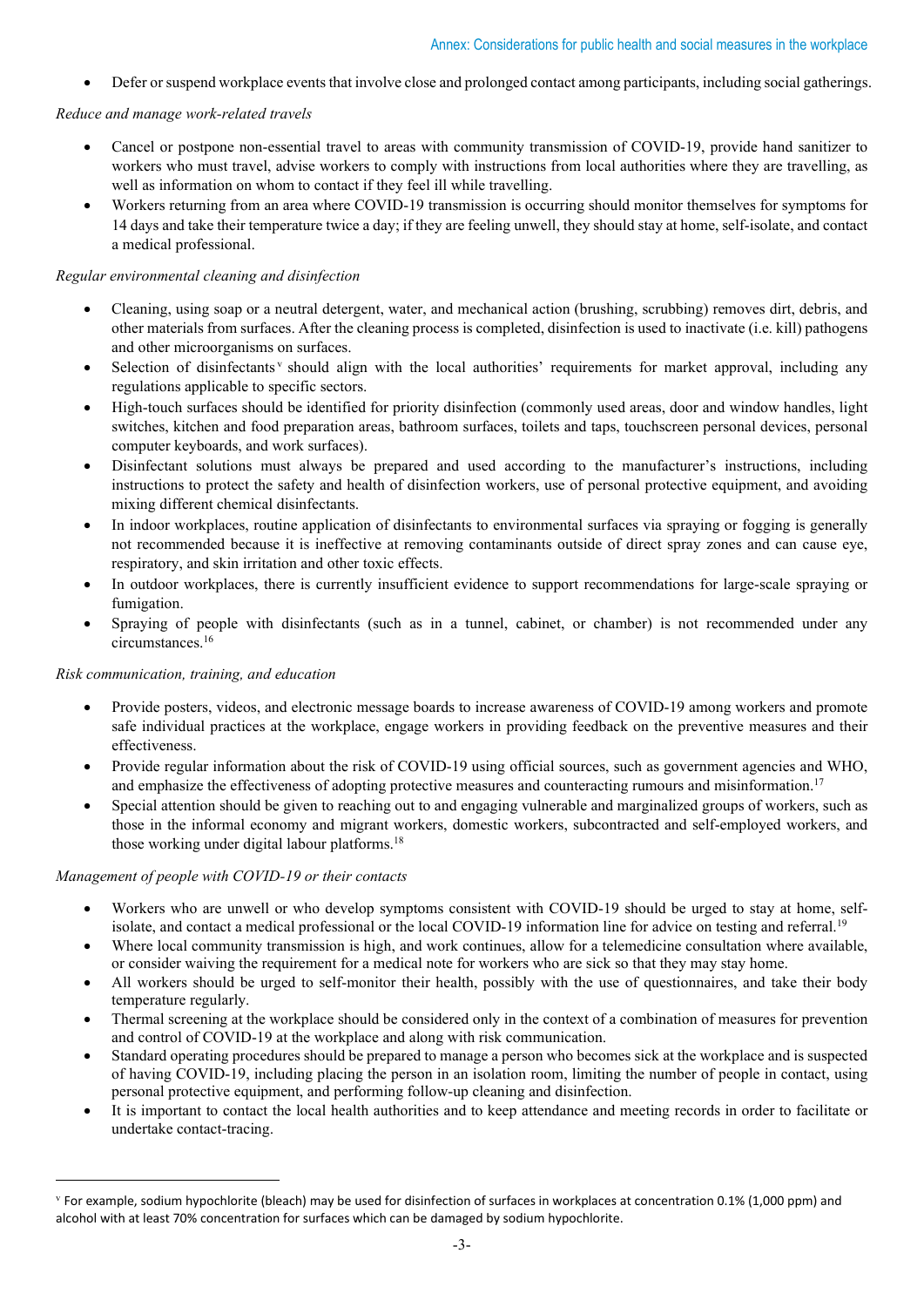• Defer or suspend workplace events that involve close and prolonged contact among participants, including social gatherings.

## *Reduce and manage work-related travels*

- Cancel or postpone non-essential travel to areas with community transmission of COVID-19, provide hand sanitizer to workers who must travel, advise workers to comply with instructions from local authorities where they are travelling, as well as information on whom to contact if they feel ill while travelling.
- Workers returning from an area where COVID-19 transmission is occurring should monitor themselves for symptoms for 14 days and take their temperature twice a day; if they are feeling unwell, they should stay at home, self-isolate, and contact a medical professional.

## *Regular environmental cleaning and disinfection*

- Cleaning, using soap or a neutral detergent, water, and mechanical action (brushing, scrubbing) removes dirt, debris, and other materials from surfaces. After the cleaning process is completed, disinfection is used to inactivate (i.e. kill) pathogens and other microorganisms on surfaces.
- Selection of disinfectants<sup>*[v](#page-2-0)*</sup> should align with the local authorities' requirements for market approval, including any regulations applicable to specific sectors.
- High-touch surfaces should be identified for priority disinfection (commonly used areas, door and window handles, light switches, kitchen and food preparation areas, bathroom surfaces, toilets and taps, touchscreen personal devices, personal computer keyboards, and work surfaces).
- Disinfectant solutions must always be prepared and used according to the manufacturer's instructions, including instructions to protect the safety and health of disinfection workers, use of personal protective equipment, and avoiding mixing different chemical disinfectants.
- In indoor workplaces, routine application of disinfectants to environmental surfaces via spraying or fogging is generally not recommended because it is ineffective at removing contaminants outside of direct spray zones and can cause eye, respiratory, and skin irritation and other toxic effects.
- In outdoor workplaces, there is currently insufficient evidence to support recommendations for large-scale spraying or fumigation.
- Spraying of people with disinfectants (such as in a tunnel, cabinet, or chamber) is not recommended under any circumstances.16

#### *Risk communication, training, and education*

- Provide posters, videos, and electronic message boards to increase awareness of COVID-19 among workers and promote safe individual practices at the workplace, engage workers in providing feedback on the preventive measures and their effectiveness.
- Provide regular information about the risk of COVID-19 using official sources, such as government agencies and WHO, and emphasize the effectiveness of adopting protective measures and counteracting rumours and misinformation.<sup>17</sup>
- Special attention should be given to reaching out to and engaging vulnerable and marginalized groups of workers, such as those in the informal economy and migrant workers, domestic workers, subcontracted and self-employed workers, and those working under digital labour platforms.18

#### *Management of people with COVID-19 or their contacts*

- Workers who are unwell or who develop symptoms consistent with COVID-19 should be urged to stay at home, selfisolate, and contact a medical professional or the local COVID-19 information line for advice on testing and referral.<sup>19</sup>
- Where local community transmission is high, and work continues, allow for a telemedicine consultation where available. or consider waiving the requirement for a medical note for workers who are sick so that they may stay home.
- All workers should be urged to self-monitor their health, possibly with the use of questionnaires, and take their body temperature regularly.
- Thermal screening at the workplace should be considered only in the context of a combination of measures for prevention and control of COVID-19 at the workplace and along with risk communication.
- Standard operating procedures should be prepared to manage a person who becomes sick at the workplace and is suspected of having COVID-19, including placing the person in an isolation room, limiting the number of people in contact, using personal protective equipment, and performing follow-up cleaning and disinfection.
- It is important to contact the local health authorities and to keep attendance and meeting records in order to facilitate or undertake contact-tracing.

<span id="page-2-0"></span> $\rm{v}$  For example, sodium hypochlorite (bleach) may be used for disinfection of surfaces in workplaces at concentration 0.1% (1,000 ppm) and alcohol with at least 70% concentration for surfaces which can be damaged by sodium hypochlorite.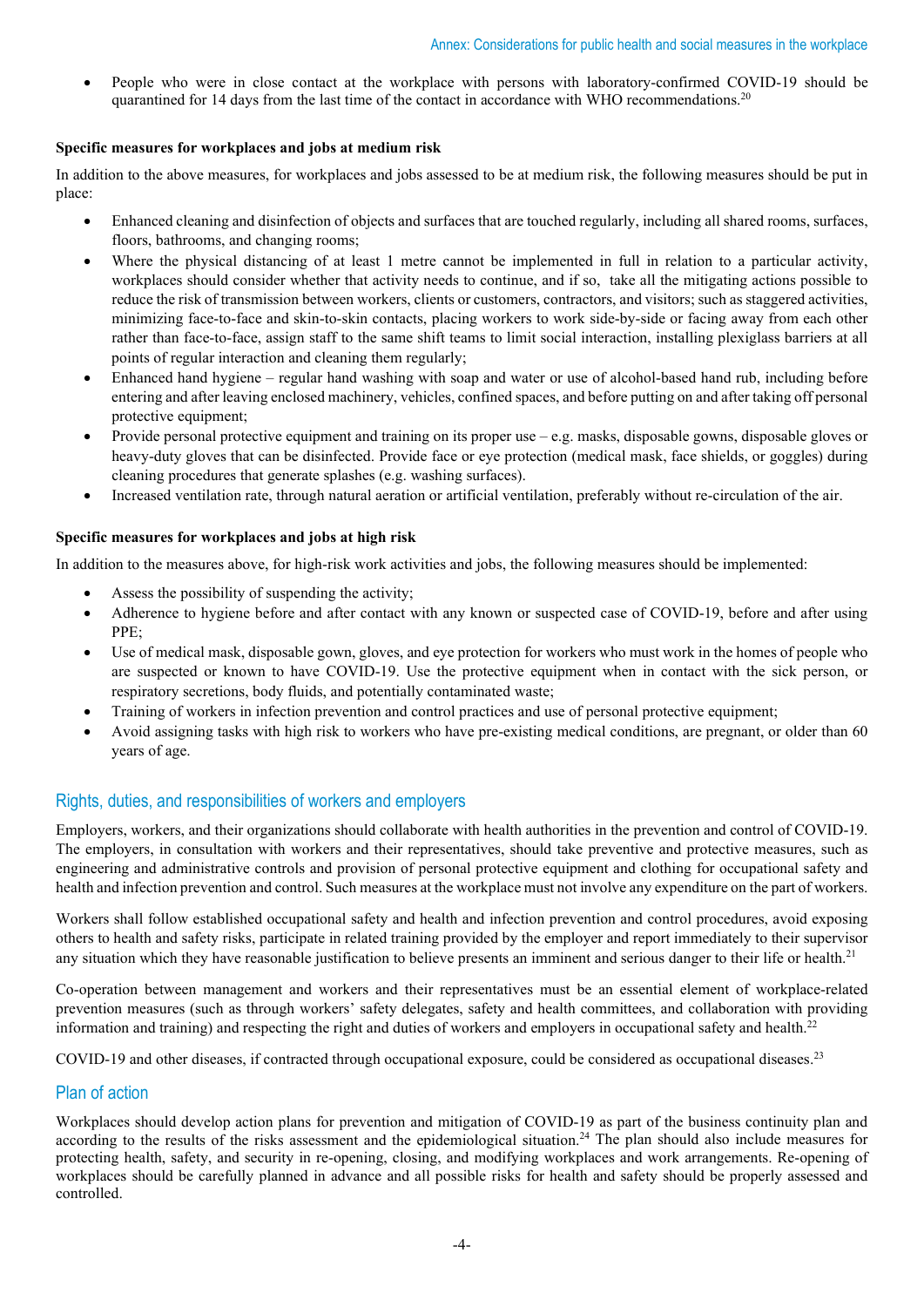• People who were in close contact at the workplace with persons with laboratory-confirmed COVID-19 should be quarantined for 14 days from the last time of the contact in accordance with WHO recommendations.<sup>20</sup>

#### **Specific measures for workplaces and jobs at medium risk**

In addition to the above measures, for workplaces and jobs assessed to be at medium risk, the following measures should be put in place:

- Enhanced cleaning and disinfection of objects and surfaces that are touched regularly, including all shared rooms, surfaces, floors, bathrooms, and changing rooms;
- Where the physical distancing of at least 1 metre cannot be implemented in full in relation to a particular activity, workplaces should consider whether that activity needs to continue, and if so, take all the mitigating actions possible to reduce the risk of transmission between workers, clients or customers, contractors, and visitors; such as staggered activities, minimizing face-to-face and skin-to-skin contacts, placing workers to work side-by-side or facing away from each other rather than face-to-face, assign staff to the same shift teams to limit social interaction, installing plexiglass barriers at all points of regular interaction and cleaning them regularly;
- Enhanced hand hygiene regular hand washing with soap and water or use of alcohol-based hand rub, including before entering and after leaving enclosed machinery, vehicles, confined spaces, and before putting on and after taking off personal protective equipment;
- Provide personal protective equipment and training on its proper use e.g. masks, disposable gowns, disposable gloves or heavy-duty gloves that can be disinfected. Provide face or eye protection (medical mask, face shields, or goggles) during cleaning procedures that generate splashes (e.g. washing surfaces).
- Increased ventilation rate, through natural aeration or artificial ventilation, preferably without re-circulation of the air.

#### **Specific measures for workplaces and jobs at high risk**

In addition to the measures above, for high-risk work activities and jobs, the following measures should be implemented:

- Assess the possibility of suspending the activity;
- Adherence to hygiene before and after contact with any known or suspected case of COVID-19, before and after using PPE;
- Use of medical mask, disposable gown, gloves, and eye protection for workers who must work in the homes of people who are suspected or known to have COVID-19. Use the protective equipment when in contact with the sick person, or respiratory secretions, body fluids, and potentially contaminated waste;
- Training of workers in infection prevention and control practices and use of personal protective equipment;
- Avoid assigning tasks with high risk to workers who have pre-existing medical conditions, are pregnant, or older than 60 years of age.

# Rights, duties, and responsibilities of workers and employers

Employers, workers, and their organizations should collaborate with health authorities in the prevention and control of COVID-19. The employers, in consultation with workers and their representatives, should take preventive and protective measures, such as engineering and administrative controls and provision of personal protective equipment and clothing for occupational safety and health and infection prevention and control. Such measures at the workplace must not involve any expenditure on the part of workers.

Workers shall follow established occupational safety and health and infection prevention and control procedures, avoid exposing others to health and safety risks, participate in related training provided by the employer and report immediately to their supervisor any situation which they have reasonable justification to believe presents an imminent and serious danger to their life or health.<sup>21</sup>

Co-operation between management and workers and their representatives must be an essential element of workplace-related prevention measures (such as through workers' safety delegates, safety and health committees, and collaboration with providing information and training) and respecting the right and duties of workers and employers in occupational safety and health.22

COVID-19 and other diseases, if contracted through occupational exposure, could be considered as occupational diseases.23

## Plan of action

Workplaces should develop action plans for prevention and mitigation of COVID-19 as part of the business continuity plan and according to the results of the risks assessment and the epidemiological situation.<sup>24</sup> The plan should also include measures for protecting health, safety, and security in re-opening, closing, and modifying workplaces and work arrangements. Re-opening of workplaces should be carefully planned in advance and all possible risks for health and safety should be properly assessed and controlled.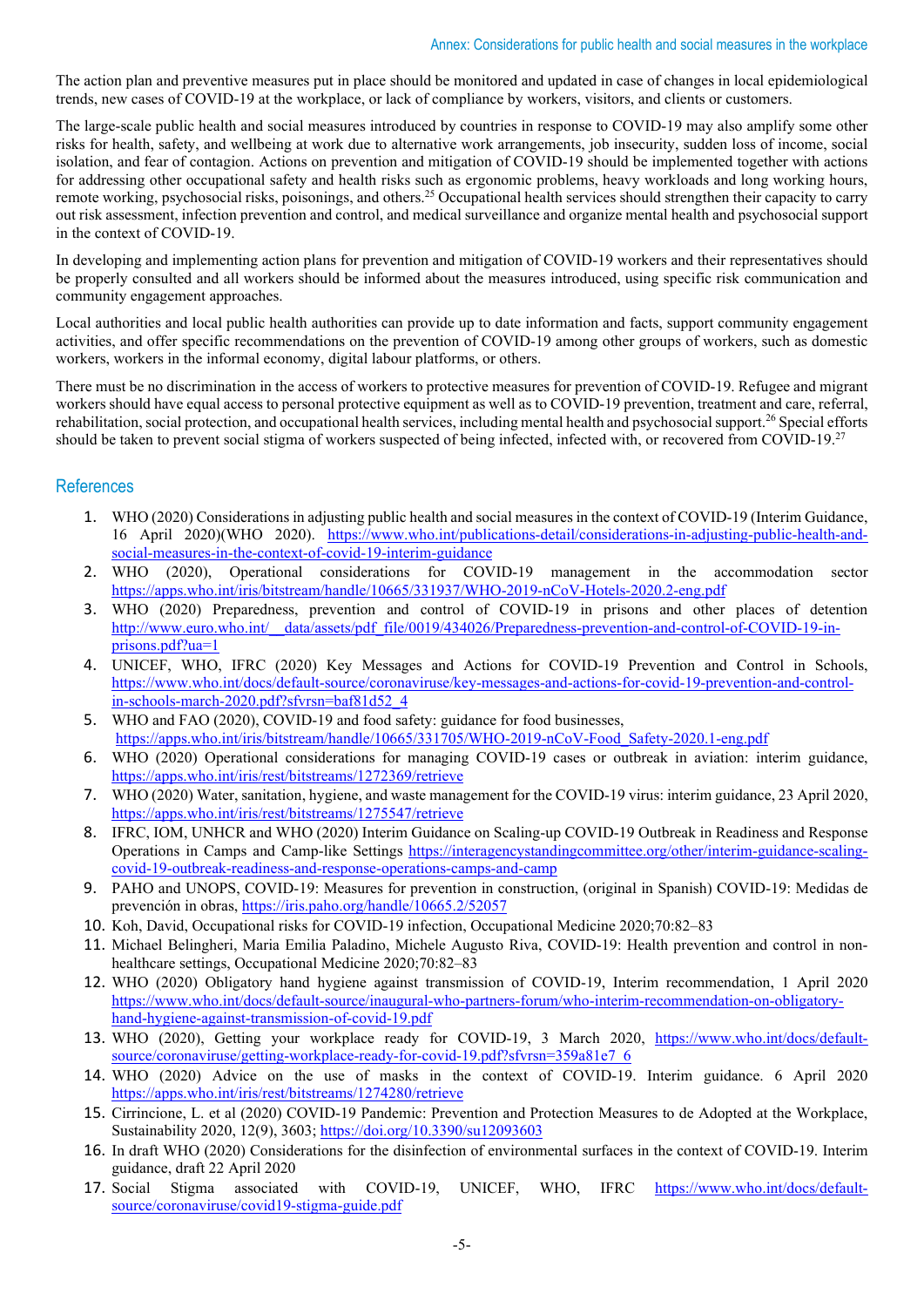The action plan and preventive measures put in place should be monitored and updated in case of changes in local epidemiological trends, new cases of COVID-19 at the workplace, or lack of compliance by workers, visitors, and clients or customers.

The large-scale public health and social measures introduced by countries in response to COVID-19 may also amplify some other risks for health, safety, and wellbeing at work due to alternative work arrangements, job insecurity, sudden loss of income, social isolation, and fear of contagion. Actions on prevention and mitigation of COVID-19 should be implemented together with actions for addressing other occupational safety and health risks such as ergonomic problems, heavy workloads and long working hours, remote working, psychosocial risks, poisonings, and others.25 Occupational health services should strengthen their capacity to carry out risk assessment, infection prevention and control, and medical surveillance and organize mental health and psychosocial support in the context of COVID-19.

In developing and implementing action plans for prevention and mitigation of COVID-19 workers and their representatives should be properly consulted and all workers should be informed about the measures introduced, using specific risk communication and community engagement approaches.

Local authorities and local public health authorities can provide up to date information and facts, support community engagement activities, and offer specific recommendations on the prevention of COVID-19 among other groups of workers, such as domestic workers, workers in the informal economy, digital labour platforms, or others.

There must be no discrimination in the access of workers to protective measures for prevention of COVID-19. Refugee and migrant workers should have equal access to personal protective equipment as well as to COVID-19 prevention, treatment and care, referral, rehabilitation, social protection, and occupational health services, including mental health and psychosocial support.<sup>26</sup> Special efforts should be taken to prevent social stigma of workers suspected of being infected, infected with, or recovered from COVID-19.27

## References

- 1. WHO (2020) Considerations in adjusting public health and social measures in the context of COVID-19 (Interim Guidance, 16 April 2020)(WHO 2020). [https://www.who.int/publications-detail/considerations-in-adjusting-public-health-and](https://www.who.int/publications-detail/considerations-in-adjusting-public-health-and-social-measures-in-the-context-of-covid-19-interim-guidance)[social-measures-in-the-context-of-covid-19-interim-guidance](https://www.who.int/publications-detail/considerations-in-adjusting-public-health-and-social-measures-in-the-context-of-covid-19-interim-guidance)
- 2. WHO (2020), Operational considerations for COVID-19 management in the accommodation sector <https://apps.who.int/iris/bitstream/handle/10665/331937/WHO-2019-nCoV-Hotels-2020.2-eng.pdf>
- 3. WHO (2020) Preparedness, prevention and control of COVID-19 in prisons and other places of detention [http://www.euro.who.int/\\_\\_data/assets/pdf\\_file/0019/434026/Preparedness-prevention-and-control-of-COVID-19-in](http://www.euro.who.int/__data/assets/pdf_file/0019/434026/Preparedness-prevention-and-control-of-COVID-19-in-prisons.pdf?ua=1)[prisons.pdf?ua=1](http://www.euro.who.int/__data/assets/pdf_file/0019/434026/Preparedness-prevention-and-control-of-COVID-19-in-prisons.pdf?ua=1)
- 4. UNICEF, WHO, IFRC (2020) Key Messages and Actions for COVID-19 Prevention and Control in Schools, [https://www.who.int/docs/default-source/coronaviruse/key-messages-and-actions-for-covid-19-prevention-and-control](https://www.who.int/docs/default-source/coronaviruse/key-messages-and-actions-for-covid-19-prevention-and-control-in-schools-march-2020.pdf?sfvrsn=baf81d52_4)[in-schools-march-2020.pdf?sfvrsn=baf81d52\\_4](https://www.who.int/docs/default-source/coronaviruse/key-messages-and-actions-for-covid-19-prevention-and-control-in-schools-march-2020.pdf?sfvrsn=baf81d52_4)
- 5. WHO and FAO (2020), COVID-19 and food safety: guidance for food businesses, [https://apps.who.int/iris/bitstream/handle/10665/331705/WHO-2019-nCoV-Food\\_Safety-2020.1-eng.pdf](https://apps.who.int/iris/bitstream/handle/10665/331705/WHO-2019-nCoV-Food_Safety-2020.1-eng.pdf)
- 6. WHO (2020) Operational considerations for managing COVID-19 cases or outbreak in aviation: interim guidance, <https://apps.who.int/iris/rest/bitstreams/1272369/retrieve>
- 7. WHO (2020) Water, sanitation, hygiene, and waste management for the COVID-19 virus: interim guidance, 23 April 2020, <https://apps.who.int/iris/rest/bitstreams/1275547/retrieve>
- 8. IFRC, IOM, UNHCR and WHO (2020) Interim Guidance on Scaling-up COVID-19 Outbreak in Readiness and Response Operations in Camps and Camp-like Settings [https://interagencystandingcommittee.org/other/interim-guidance-scaling](https://interagencystandingcommittee.org/other/interim-guidance-scaling-covid-19-outbreak-readiness-and-response-operations-camps-and-camp)[covid-19-outbreak-readiness-and-response-operations-camps-and-camp](https://interagencystandingcommittee.org/other/interim-guidance-scaling-covid-19-outbreak-readiness-and-response-operations-camps-and-camp)
- 9. PAHO and UNOPS, COVID-19: Measures for prevention in construction, (original in Spanish) COVID-19: Medidas de prevención in obras,<https://iris.paho.org/handle/10665.2/52057>
- 10. Koh, David, Occupational risks for COVID-19 infection, Occupational Medicine 2020;70:82–83
- 11. Michael Belingheri, Maria Emilia Paladino, Michele Augusto Riva, COVID-19: Health prevention and control in nonhealthcare settings, Occupational Medicine 2020;70:82–83
- 12. WHO (2020) Obligatory hand hygiene against transmission of COVID-19, Interim recommendation, 1 April 2020 [https://www.who.int/docs/default-source/inaugural-who-partners-forum/who-interim-recommendation-on-obligatory](https://www.who.int/docs/default-source/inaugural-who-partners-forum/who-interim-recommendation-on-obligatory-hand-hygiene-against-transmission-of-covid-19.pdf)[hand-hygiene-against-transmission-of-covid-19.pdf](https://www.who.int/docs/default-source/inaugural-who-partners-forum/who-interim-recommendation-on-obligatory-hand-hygiene-against-transmission-of-covid-19.pdf)
- 13. WHO (2020), Getting your workplace ready for COVID-19, 3 March 2020, [https://www.who.int/docs/default](https://www.who.int/docs/default-source/coronaviruse/getting-workplace-ready-for-covid-19.pdf?sfvrsn=359a81e7_6)[source/coronaviruse/getting-workplace-ready-for-covid-19.pdf?sfvrsn=359a81e7\\_6](https://www.who.int/docs/default-source/coronaviruse/getting-workplace-ready-for-covid-19.pdf?sfvrsn=359a81e7_6)
- 14. WHO (2020) Advice on the use of masks in the context of COVID-19. Interim guidance. 6 April 2020 <https://apps.who.int/iris/rest/bitstreams/1274280/retrieve>
- 15. Cirrincione, L. et al (2020) COVID-19 Pandemic: Prevention and Protection Measures to de Adopted at the Workplace, Sustainability 2020, 12(9), 3603;<https://doi.org/10.3390/su12093603>
- 16. In draft WHO (2020) Considerations for the disinfection of environmental surfaces in the context of COVID-19. Interim guidance, draft 22 April 2020
- 17. Social Stigma associated with COVID-19, UNICEF, WHO, IFRC [https://www.who.int/docs/default](https://www.who.int/docs/default-source/coronaviruse/covid19-stigma-guide.pdf)[source/coronaviruse/covid19-stigma-guide.pdf](https://www.who.int/docs/default-source/coronaviruse/covid19-stigma-guide.pdf)